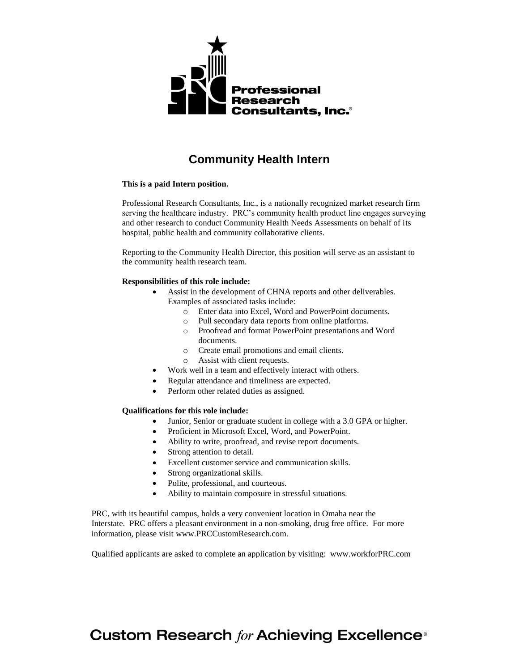

## **Community Health Intern**

#### **This is a paid Intern position.**

Professional Research Consultants, Inc., is a nationally recognized market research firm serving the healthcare industry. PRC's community health product line engages surveying and other research to conduct Community Health Needs Assessments on behalf of its hospital, public health and community collaborative clients.

Reporting to the Community Health Director, this position will serve as an assistant to the community health research team.

### **Responsibilities of this role include:**

- Assist in the development of CHNA reports and other deliverables. Examples of associated tasks include:
	- o Enter data into Excel, Word and PowerPoint documents.
	- o Pull secondary data reports from online platforms.
	- o Proofread and format PowerPoint presentations and Word documents.
	- o Create email promotions and email clients.
	- o Assist with client requests.
- Work well in a team and effectively interact with others.
- Regular attendance and timeliness are expected.
- Perform other related duties as assigned.

#### **Qualifications for this role include:**

- Junior, Senior or graduate student in college with a 3.0 GPA or higher.
- Proficient in Microsoft Excel, Word, and PowerPoint.
- Ability to write, proofread, and revise report documents.
- Strong attention to detail.
- Excellent customer service and communication skills.
- Strong organizational skills.
- Polite, professional, and courteous.
- Ability to maintain composure in stressful situations.

PRC, with its beautiful campus, holds a very convenient location in Omaha near the Interstate. PRC offers a pleasant environment in a non-smoking, drug free office. For more information, please visit [www.PRCCustomResearch.com.](http://www.prccustomresearch.com/)

Qualified applicants are asked to complete an application by visiting: www.workforPRC.com

# **Custom Research for Achieving Excellence<sup>®</sup>**